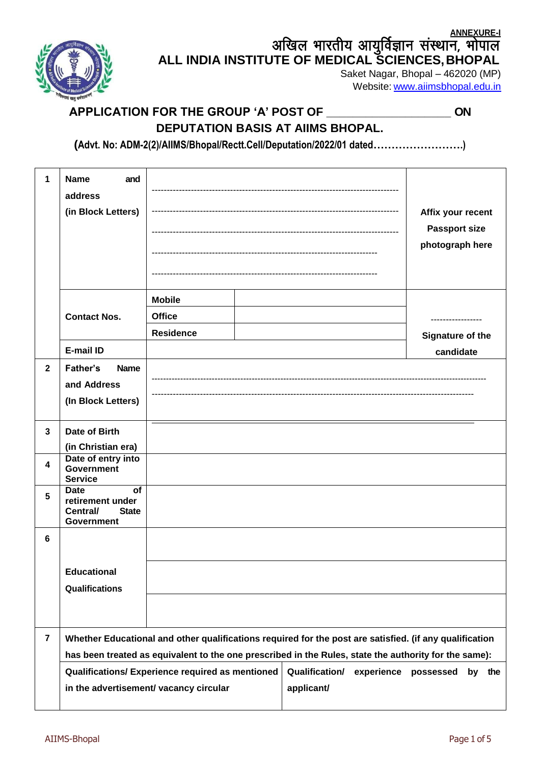**ANNEXURE-I**

अखिल भारतीय आयुर्विज्ञान संस्थान, भोपाल **ALL INDIA INSTITUTE OF MEDICAL SCIENCES,BHOPAL**

Saket Nagar, Bhopal – 462020 (MP) Website: [www.aiimsbhopal.edu.in](http://www.aiimsbhopal.edu.in/)

## **APPLICATION FOR THE GROUP 'A' POST OF \_\_\_\_\_\_\_\_\_\_\_\_\_\_\_\_\_\_\_ ON DEPUTATION BASIS AT AIIMS BHOPAL.**

**(Advt. No: ADM-2(2)/AIIMS/Bhopal/Rectt.Cell/Deputation/2022/01 dated…………………….)**

| 1              | <b>Name</b><br>and<br>address<br>(in Block Letters)                                    |                                                                                                                                                                                                                  |                                                   | Affix your recent<br><b>Passport size</b><br>photograph here |
|----------------|----------------------------------------------------------------------------------------|------------------------------------------------------------------------------------------------------------------------------------------------------------------------------------------------------------------|---------------------------------------------------|--------------------------------------------------------------|
|                |                                                                                        | <b>Mobile</b>                                                                                                                                                                                                    |                                                   |                                                              |
|                | <b>Contact Nos.</b>                                                                    | <b>Office</b>                                                                                                                                                                                                    |                                                   | .                                                            |
|                |                                                                                        | <b>Residence</b>                                                                                                                                                                                                 |                                                   | Signature of the                                             |
|                | E-mail ID                                                                              |                                                                                                                                                                                                                  |                                                   | candidate                                                    |
| $\overline{2}$ | <b>Father's</b><br><b>Name</b><br>and Address<br>(In Block Letters)                    |                                                                                                                                                                                                                  |                                                   |                                                              |
| $\mathbf{3}$   | Date of Birth<br>(in Christian era)                                                    |                                                                                                                                                                                                                  |                                                   |                                                              |
| 4              | Date of entry into<br><b>Government</b><br><b>Service</b>                              |                                                                                                                                                                                                                  |                                                   |                                                              |
| 5              | <b>Date</b><br><b>of</b><br>retirement under<br>Central/<br><b>State</b><br>Government |                                                                                                                                                                                                                  |                                                   |                                                              |
| 6              |                                                                                        |                                                                                                                                                                                                                  |                                                   |                                                              |
|                | <b>Educational</b><br>Qualifications                                                   |                                                                                                                                                                                                                  |                                                   |                                                              |
|                |                                                                                        |                                                                                                                                                                                                                  |                                                   |                                                              |
| $\overline{7}$ |                                                                                        | Whether Educational and other qualifications required for the post are satisfied. (if any qualification<br>has been treated as equivalent to the one prescribed in the Rules, state the authority for the same): |                                                   |                                                              |
|                |                                                                                        | Qualifications/ Experience required as mentioned<br>in the advertisement/ vacancy circular                                                                                                                       | <b>Qualification/</b><br>experience<br>applicant/ | possessed<br>by the                                          |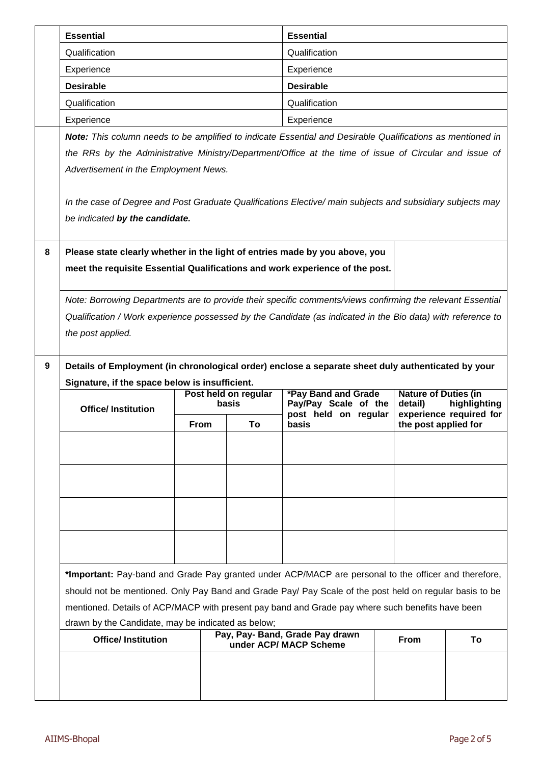|                                                                                       | <b>Essential</b>                                                                                                                                                                                                          |      |    | <b>Essential</b>                                                                                           |                      |                                         |  |
|---------------------------------------------------------------------------------------|---------------------------------------------------------------------------------------------------------------------------------------------------------------------------------------------------------------------------|------|----|------------------------------------------------------------------------------------------------------------|----------------------|-----------------------------------------|--|
|                                                                                       | Qualification                                                                                                                                                                                                             |      |    | Qualification                                                                                              |                      |                                         |  |
|                                                                                       | Experience                                                                                                                                                                                                                |      |    | Experience                                                                                                 |                      |                                         |  |
|                                                                                       | <b>Desirable</b>                                                                                                                                                                                                          |      |    | <b>Desirable</b>                                                                                           |                      |                                         |  |
|                                                                                       | Qualification                                                                                                                                                                                                             |      |    | Qualification                                                                                              |                      |                                         |  |
|                                                                                       | Experience                                                                                                                                                                                                                |      |    | Experience                                                                                                 |                      |                                         |  |
|                                                                                       |                                                                                                                                                                                                                           |      |    | Note: This column needs to be amplified to indicate Essential and Desirable Qualifications as mentioned in |                      |                                         |  |
|                                                                                       | the RRs by the Administrative Ministry/Department/Office at the time of issue of Circular and issue of                                                                                                                    |      |    |                                                                                                            |                      |                                         |  |
|                                                                                       | Advertisement in the Employment News.                                                                                                                                                                                     |      |    |                                                                                                            |                      |                                         |  |
|                                                                                       |                                                                                                                                                                                                                           |      |    |                                                                                                            |                      |                                         |  |
|                                                                                       | In the case of Degree and Post Graduate Qualifications Elective/ main subjects and subsidiary subjects may                                                                                                                |      |    |                                                                                                            |                      |                                         |  |
|                                                                                       | be indicated by the candidate.                                                                                                                                                                                            |      |    |                                                                                                            |                      |                                         |  |
|                                                                                       |                                                                                                                                                                                                                           |      |    |                                                                                                            |                      |                                         |  |
| 8                                                                                     | Please state clearly whether in the light of entries made by you above, you                                                                                                                                               |      |    |                                                                                                            |                      |                                         |  |
|                                                                                       | meet the requisite Essential Qualifications and work experience of the post.                                                                                                                                              |      |    |                                                                                                            |                      |                                         |  |
|                                                                                       |                                                                                                                                                                                                                           |      |    |                                                                                                            |                      |                                         |  |
|                                                                                       | Note: Borrowing Departments are to provide their specific comments/views confirming the relevant Essential<br>Qualification / Work experience possessed by the Candidate (as indicated in the Bio data) with reference to |      |    |                                                                                                            |                      |                                         |  |
|                                                                                       |                                                                                                                                                                                                                           |      |    |                                                                                                            |                      |                                         |  |
|                                                                                       | the post applied.                                                                                                                                                                                                         |      |    |                                                                                                            |                      |                                         |  |
| 9                                                                                     | Details of Employment (in chronological order) enclose a separate sheet duly authenticated by your                                                                                                                        |      |    |                                                                                                            |                      |                                         |  |
|                                                                                       | Signature, if the space below is insufficient.                                                                                                                                                                            |      |    |                                                                                                            |                      |                                         |  |
|                                                                                       | Post held on regular<br><b>*Pay Band and Grade</b><br><b>Nature of Duties (in</b><br>Pay/Pay Scale of the<br>basis                                                                                                        |      |    |                                                                                                            |                      |                                         |  |
|                                                                                       | <b>Office/Institution</b>                                                                                                                                                                                                 |      |    | post held on regular                                                                                       | detail)              | highlighting<br>experience required for |  |
|                                                                                       |                                                                                                                                                                                                                           | From | To | basis                                                                                                      | the post applied for |                                         |  |
|                                                                                       |                                                                                                                                                                                                                           |      |    |                                                                                                            |                      |                                         |  |
|                                                                                       |                                                                                                                                                                                                                           |      |    |                                                                                                            |                      |                                         |  |
|                                                                                       |                                                                                                                                                                                                                           |      |    |                                                                                                            |                      |                                         |  |
|                                                                                       |                                                                                                                                                                                                                           |      |    |                                                                                                            |                      |                                         |  |
|                                                                                       |                                                                                                                                                                                                                           |      |    |                                                                                                            |                      |                                         |  |
|                                                                                       |                                                                                                                                                                                                                           |      |    |                                                                                                            |                      |                                         |  |
|                                                                                       |                                                                                                                                                                                                                           |      |    |                                                                                                            |                      |                                         |  |
|                                                                                       |                                                                                                                                                                                                                           |      |    |                                                                                                            |                      |                                         |  |
|                                                                                       | *Important: Pay-band and Grade Pay granted under ACP/MACP are personal to the officer and therefore,                                                                                                                      |      |    |                                                                                                            |                      |                                         |  |
|                                                                                       | should not be mentioned. Only Pay Band and Grade Pay/ Pay Scale of the post held on regular basis to be                                                                                                                   |      |    |                                                                                                            |                      |                                         |  |
|                                                                                       | mentioned. Details of ACP/MACP with present pay band and Grade pay where such benefits have been                                                                                                                          |      |    |                                                                                                            |                      |                                         |  |
| drawn by the Candidate, may be indicated as below;<br>Pay, Pay- Band, Grade Pay drawn |                                                                                                                                                                                                                           |      |    |                                                                                                            |                      |                                         |  |
|                                                                                       | <b>Office/Institution</b>                                                                                                                                                                                                 |      |    | under ACP/ MACP Scheme                                                                                     | <b>From</b>          | To                                      |  |
|                                                                                       |                                                                                                                                                                                                                           |      |    |                                                                                                            |                      |                                         |  |
|                                                                                       |                                                                                                                                                                                                                           |      |    |                                                                                                            |                      |                                         |  |
|                                                                                       |                                                                                                                                                                                                                           |      |    |                                                                                                            |                      |                                         |  |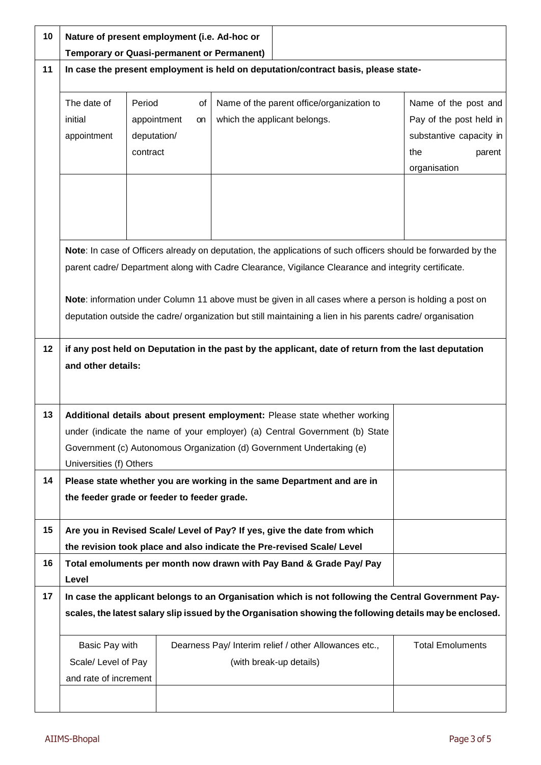| 10 | Nature of present employment (i.e. Ad-hoc or<br><b>Temporary or Quasi-permanent or Permanent)</b>                                                                                                                                                            |                                                                                                                                                                                                                                                                                                                                                                                                                                              |  |                                                                                  |                                                                                                             |  |
|----|--------------------------------------------------------------------------------------------------------------------------------------------------------------------------------------------------------------------------------------------------------------|----------------------------------------------------------------------------------------------------------------------------------------------------------------------------------------------------------------------------------------------------------------------------------------------------------------------------------------------------------------------------------------------------------------------------------------------|--|----------------------------------------------------------------------------------|-------------------------------------------------------------------------------------------------------------|--|
| 11 | In case the present employment is held on deputation/contract basis, please state-                                                                                                                                                                           |                                                                                                                                                                                                                                                                                                                                                                                                                                              |  |                                                                                  |                                                                                                             |  |
|    | The date of<br>Period<br>initial<br>appointment<br>contract                                                                                                                                                                                                  | of<br>appointment<br>on<br>deputation/                                                                                                                                                                                                                                                                                                                                                                                                       |  | Name of the parent office/organization to<br>which the applicant belongs.        | Name of the post and<br>Pay of the post held in<br>substantive capacity in<br>the<br>parent<br>organisation |  |
|    |                                                                                                                                                                                                                                                              | Note: In case of Officers already on deputation, the applications of such officers should be forwarded by the<br>parent cadre/ Department along with Cadre Clearance, Vigilance Clearance and integrity certificate.<br>Note: information under Column 11 above must be given in all cases where a person is holding a post on<br>deputation outside the cadre/ organization but still maintaining a lien in his parents cadre/ organisation |  |                                                                                  |                                                                                                             |  |
| 12 | if any post held on Deputation in the past by the applicant, date of return from the last deputation<br>and other details:                                                                                                                                   |                                                                                                                                                                                                                                                                                                                                                                                                                                              |  |                                                                                  |                                                                                                             |  |
| 13 | Additional details about present employment: Please state whether working<br>under (indicate the name of your employer) (a) Central Government (b) State<br>Government (c) Autonomous Organization (d) Government Undertaking (e)<br>Universities (f) Others |                                                                                                                                                                                                                                                                                                                                                                                                                                              |  |                                                                                  |                                                                                                             |  |
| 14 | Please state whether you are working in the same Department and are in<br>the feeder grade or feeder to feeder grade.                                                                                                                                        |                                                                                                                                                                                                                                                                                                                                                                                                                                              |  |                                                                                  |                                                                                                             |  |
| 15 | Are you in Revised Scale/ Level of Pay? If yes, give the date from which<br>the revision took place and also indicate the Pre-revised Scale/ Level                                                                                                           |                                                                                                                                                                                                                                                                                                                                                                                                                                              |  |                                                                                  |                                                                                                             |  |
| 16 | Total emoluments per month now drawn with Pay Band & Grade Pay/ Pay<br>Level                                                                                                                                                                                 |                                                                                                                                                                                                                                                                                                                                                                                                                                              |  |                                                                                  |                                                                                                             |  |
| 17 | In case the applicant belongs to an Organisation which is not following the Central Government Pay-<br>scales, the latest salary slip issued by the Organisation showing the following details may be enclosed.                                              |                                                                                                                                                                                                                                                                                                                                                                                                                                              |  |                                                                                  |                                                                                                             |  |
|    | Basic Pay with<br>Scale/ Level of Pay<br>and rate of increment                                                                                                                                                                                               |                                                                                                                                                                                                                                                                                                                                                                                                                                              |  | Dearness Pay/ Interim relief / other Allowances etc.,<br>(with break-up details) | <b>Total Emoluments</b>                                                                                     |  |
|    |                                                                                                                                                                                                                                                              |                                                                                                                                                                                                                                                                                                                                                                                                                                              |  |                                                                                  |                                                                                                             |  |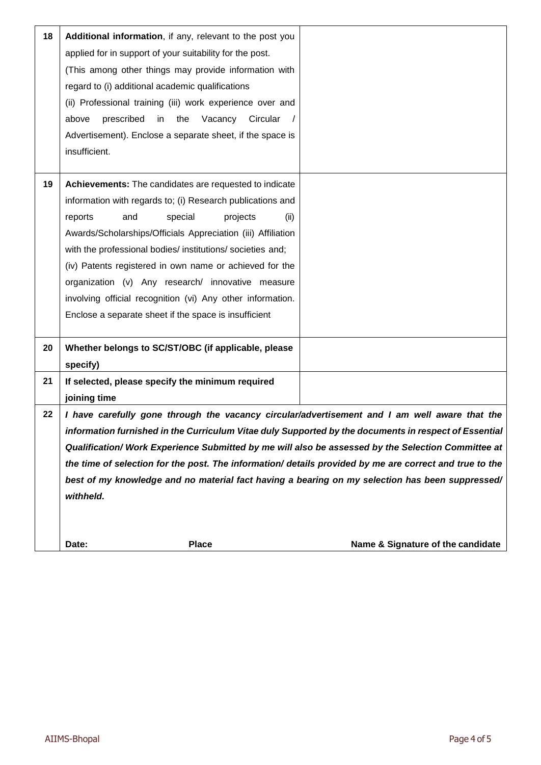| 18 | Additional information, if any, relevant to the post you<br>applied for in support of your suitability for the post.<br>(This among other things may provide information with<br>regard to (i) additional academic qualifications<br>(ii) Professional training (iii) work experience over and<br>prescribed<br>Vacancy Circular<br>above<br>in<br>the<br>Advertisement). Enclose a separate sheet, if the space is                                                                                                                        |                                   |
|----|--------------------------------------------------------------------------------------------------------------------------------------------------------------------------------------------------------------------------------------------------------------------------------------------------------------------------------------------------------------------------------------------------------------------------------------------------------------------------------------------------------------------------------------------|-----------------------------------|
|    | insufficient.                                                                                                                                                                                                                                                                                                                                                                                                                                                                                                                              |                                   |
| 19 | Achievements: The candidates are requested to indicate<br>information with regards to; (i) Research publications and<br>reports<br>and<br>special<br>projects<br>(ii)<br>Awards/Scholarships/Officials Appreciation (iii) Affiliation<br>with the professional bodies/ institutions/ societies and;<br>(iv) Patents registered in own name or achieved for the<br>organization (v) Any research/ innovative measure<br>involving official recognition (vi) Any other information.<br>Enclose a separate sheet if the space is insufficient |                                   |
| 20 | Whether belongs to SC/ST/OBC (if applicable, please<br>specify)                                                                                                                                                                                                                                                                                                                                                                                                                                                                            |                                   |
| 21 | If selected, please specify the minimum required<br>joining time                                                                                                                                                                                                                                                                                                                                                                                                                                                                           |                                   |
| 22 | I have carefully gone through the vacancy circular/advertisement and I am well aware that the<br>information furnished in the Curriculum Vitae duly Supported by the documents in respect of Essential<br>Qualification/ Work Experience Submitted by me will also be assessed by the Selection Committee at<br>the time of selection for the post. The information/ details provided by me are correct and true to the<br>best of my knowledge and no material fact having a bearing on my selection has been suppressed/<br>withheld.    |                                   |
|    | <b>Place</b><br>Date:                                                                                                                                                                                                                                                                                                                                                                                                                                                                                                                      | Name & Signature of the candidate |